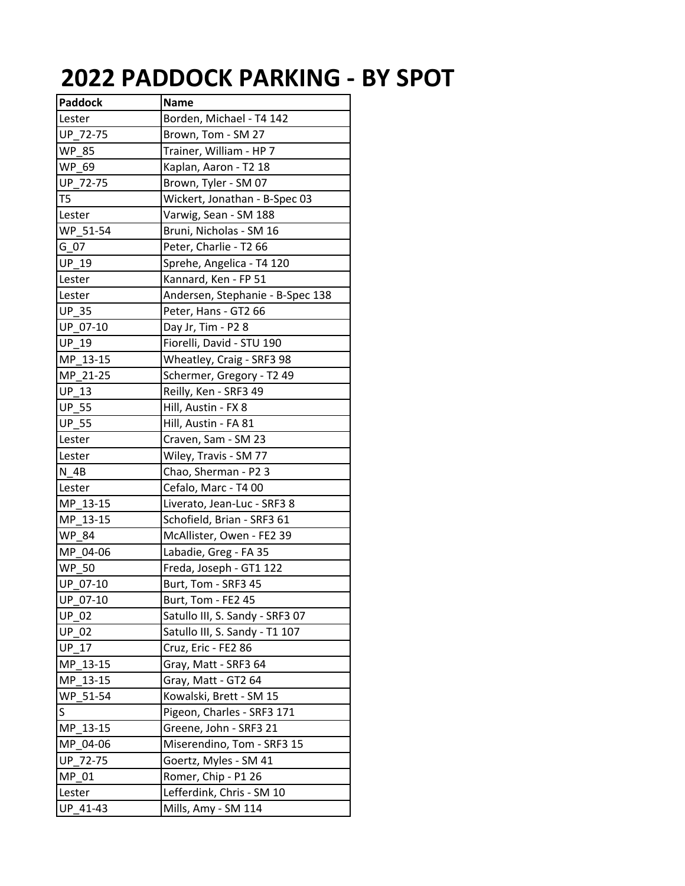## **2022 PADDOCK PARKING ‐ BY SPOT**

| <b>Paddock</b> | <b>Name</b>                      |
|----------------|----------------------------------|
| Lester         | Borden, Michael - T4 142         |
| UP 72-75       | Brown, Tom - SM 27               |
| <b>WP 85</b>   | Trainer, William - HP 7          |
| WP 69          | Kaplan, Aaron - T2 18            |
| UP 72-75       | Brown, Tyler - SM 07             |
| T <sub>5</sub> | Wickert, Jonathan - B-Spec 03    |
| Lester         | Varwig, Sean - SM 188            |
| WP 51-54       | Bruni, Nicholas - SM 16          |
| G 07           | Peter, Charlie - T2 66           |
| <b>UP 19</b>   | Sprehe, Angelica - T4 120        |
| Lester         | Kannard, Ken - FP 51             |
| Lester         | Andersen, Stephanie - B-Spec 138 |
| <b>UP_35</b>   | Peter, Hans - GT2 66             |
| UP 07-10       | Day Jr, Tim - P2 8               |
| <b>UP 19</b>   | Fiorelli, David - STU 190        |
| MP 13-15       | Wheatley, Craig - SRF3 98        |
| MP 21-25       | Schermer, Gregory - T2 49        |
| <b>UP 13</b>   | Reilly, Ken - SRF3 49            |
| <b>UP 55</b>   | Hill, Austin - FX 8              |
| <b>UP_55</b>   | Hill, Austin - FA 81             |
| Lester         | Craven, Sam - SM 23              |
| Lester         | Wiley, Travis - SM 77            |
| N 4B           | Chao, Sherman - P2 3             |
| Lester         | Cefalo, Marc - T4 00             |
| MP 13-15       | Liverato, Jean-Luc - SRF3 8      |
| MP 13-15       | Schofield, Brian - SRF3 61       |
| <b>WP 84</b>   | McAllister, Owen - FE2 39        |
| MP 04-06       | Labadie, Greg - FA 35            |
| <b>WP 50</b>   | Freda, Joseph - GT1 122          |
| UP 07-10       | Burt, Tom - SRF3 45              |
| UP 07-10       | Burt, Tom - FE2 45               |
| <b>UP 02</b>   | Satullo III, S. Sandy - SRF3 07  |
| <b>UP 02</b>   | Satullo III, S. Sandy - T1 107   |
| <b>UP 17</b>   | Cruz, Eric - FE2 86              |
| MP 13-15       | Gray, Matt - SRF3 64             |
| MP_13-15       | Gray, Matt - GT2 64              |
| WP 51-54       | Kowalski, Brett - SM 15          |
| S              | Pigeon, Charles - SRF3 171       |
| MP 13-15       | Greene, John - SRF3 21           |
| MP 04-06       | Miserendino, Tom - SRF3 15       |
| UP 72-75       | Goertz, Myles - SM 41            |
| $MP_01$        | Romer, Chip - P1 26              |
| Lester         | Lefferdink, Chris - SM 10        |
| UP_41-43       | Mills, Amy - SM 114              |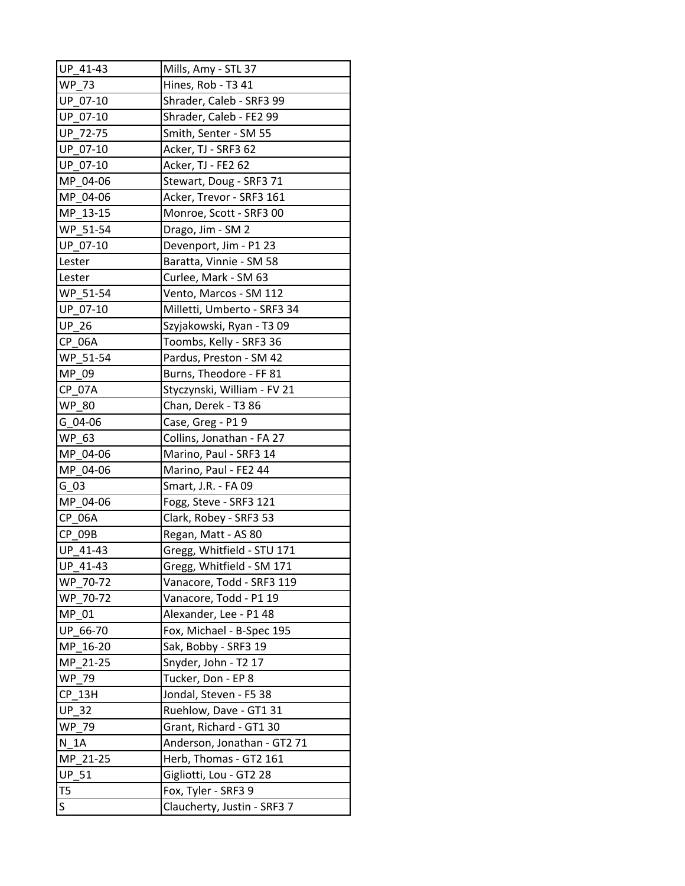| UP 41-43        | Mills, Amy - STL 37         |
|-----------------|-----------------------------|
| WP 73           | Hines, Rob - T3 41          |
| UP 07-10        | Shrader, Caleb - SRF3 99    |
| UP 07-10        | Shrader, Caleb - FE2 99     |
| UP 72-75        | Smith, Senter - SM 55       |
| UP_07-10        | Acker, TJ - SRF3 62         |
| UP_07-10        | Acker, TJ - FE2 62          |
| MP 04-06        | Stewart, Doug - SRF3 71     |
| MP 04-06        | Acker, Trevor - SRF3 161    |
| MP 13-15        | Monroe, Scott - SRF3 00     |
| WP_51-54        | Drago, Jim - SM 2           |
| UP 07-10        | Devenport, Jim - P1 23      |
| Lester          | Baratta, Vinnie - SM 58     |
| Lester          | Curlee, Mark - SM 63        |
| WP_51-54        | Vento, Marcos - SM 112      |
| UP_07-10        | Milletti, Umberto - SRF3 34 |
| UP_26           | Szyjakowski, Ryan - T3 09   |
| <b>CP 06A</b>   | Toombs, Kelly - SRF3 36     |
| WP 51-54        | Pardus, Preston - SM 42     |
| MP 09           | Burns, Theodore - FF 81     |
| CP 07A          | Styczynski, William - FV 21 |
| <b>WP_80</b>    | Chan, Derek - T3 86         |
| G 04-06         | Case, Greg - P19            |
| WP 63           | Collins, Jonathan - FA 27   |
| MP 04-06        | Marino, Paul - SRF3 14      |
| MP 04-06        | Marino, Paul - FE2 44       |
| G 03            | Smart, J.R. - FA 09         |
| MP 04-06        | Fogg, Steve - SRF3 121      |
| CP_06A          | Clark, Robey - SRF3 53      |
| CP 09B          | Regan, Matt - AS 80         |
| UP 41-43        | Gregg, Whitfield - STU 171  |
| UP_41-43        | Gregg, Whitfield - SM 171   |
| WP 70-72        | Vanacore, Todd - SRF3 119   |
| WP 70-72        | Vanacore, Todd - P1 19      |
| MP 01           | Alexander, Lee - P1 48      |
| UP 66-70        | Fox, Michael - B-Spec 195   |
| MP<br>$16 - 20$ | Sak, Bobby - SRF3 19        |
| MP_21-25        | Snyder, John - T2 17        |
| <b>WP 79</b>    | Tucker, Don - EP 8          |
| $CP_13H$        | Jondal, Steven - F5 38      |
| <b>UP 32</b>    | Ruehlow, Dave - GT1 31      |
| WP 79           | Grant, Richard - GT1 30     |
| N 1A            | Anderson, Jonathan - GT2 71 |
| MP 21-25        | Herb, Thomas - GT2 161      |
| UP_51           | Gigliotti, Lou - GT2 28     |
| T <sub>5</sub>  | Fox, Tyler - SRF3 9         |
| S               | Claucherty, Justin - SRF3 7 |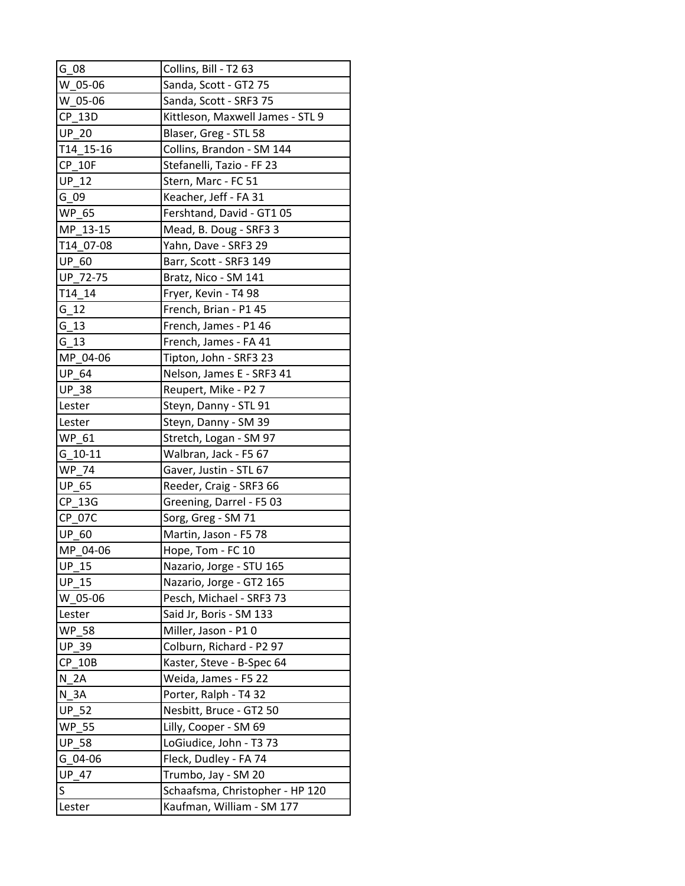| G 08               | Collins, Bill - T2 63            |
|--------------------|----------------------------------|
| $W_0$ 05-06        | Sanda, Scott - GT2 75            |
| $W_0$ 05-06        | Sanda, Scott - SRF3 75           |
| CP 13D             | Kittleson, Maxwell James - STL 9 |
| <b>UP 20</b>       | Blaser, Greg - STL 58            |
| T14 15-16          | Collins, Brandon - SM 144        |
| <b>CP 10F</b>      | Stefanelli, Tazio - FF 23        |
| <b>UP 12</b>       | Stern, Marc - FC 51              |
| $G_0$              | Keacher, Jeff - FA 31            |
| WP 65              | Fershtand, David - GT1 05        |
| MP 13-15           | Mead, B. Doug - SRF3 3           |
| T14 07-08          | Yahn, Dave - SRF3 29             |
| <b>UP 60</b>       | Barr, Scott - SRF3 149           |
| UP 72-75           | Bratz, Nico - SM 141             |
| T14 14             | Fryer, Kevin - T4 98             |
| $G_12$             | French, Brian - P1 45            |
| G 13               | French, James - P1 46            |
| G 13               | French, James - FA 41            |
| MP_04-06           | Tipton, John - SRF3 23           |
| <b>UP 64</b>       | Nelson, James E - SRF3 41        |
| <b>UP 38</b>       | Reupert, Mike - P2 7             |
| Lester             | Steyn, Danny - STL 91            |
| Lester             | Steyn, Danny - SM 39             |
| WP 61              | Stretch, Logan - SM 97           |
| $G$ 10-11          | Walbran, Jack - F5 67            |
| <b>WP 74</b>       | Gaver, Justin - STL 67           |
| <b>UP 65</b>       | Reeder, Craig - SRF3 66          |
| CP_13G             | Greening, Darrel - F5 03         |
| CP_07C             | Sorg, Greg - SM 71               |
| <b>UP 60</b>       | Martin, Jason - F5 78            |
| MP 04-06           | Hope, Tom - FC 10                |
| $\overline{UP_15}$ | Nazario, Jorge - STU 165         |
| <b>UP 15</b>       | Nazario, Jorge - GT2 165         |
| W 05-06            | Pesch, Michael - SRF3 73         |
| Lester             | Said Jr, Boris - SM 133          |
| <b>WP 58</b>       | Miller, Jason - P10              |
| UP_39              | Colburn, Richard - P2 97         |
| $CP_10B$           | Kaster, Steve - B-Spec 64        |
| N 2A               | Weida, James - F5 22             |
| N 3A               | Porter, Ralph - T4 32            |
| <b>UP 52</b>       | Nesbitt, Bruce - GT2 50          |
| <b>WP 55</b>       | Lilly, Cooper - SM 69            |
| UP_58              | LoGiudice, John - T3 73          |
| $G_04-06$          | Fleck, Dudley - FA 74            |
| <b>UP 47</b>       | Trumbo, Jay - SM 20              |
| S                  | Schaafsma, Christopher - HP 120  |
| Lester             | Kaufman, William - SM 177        |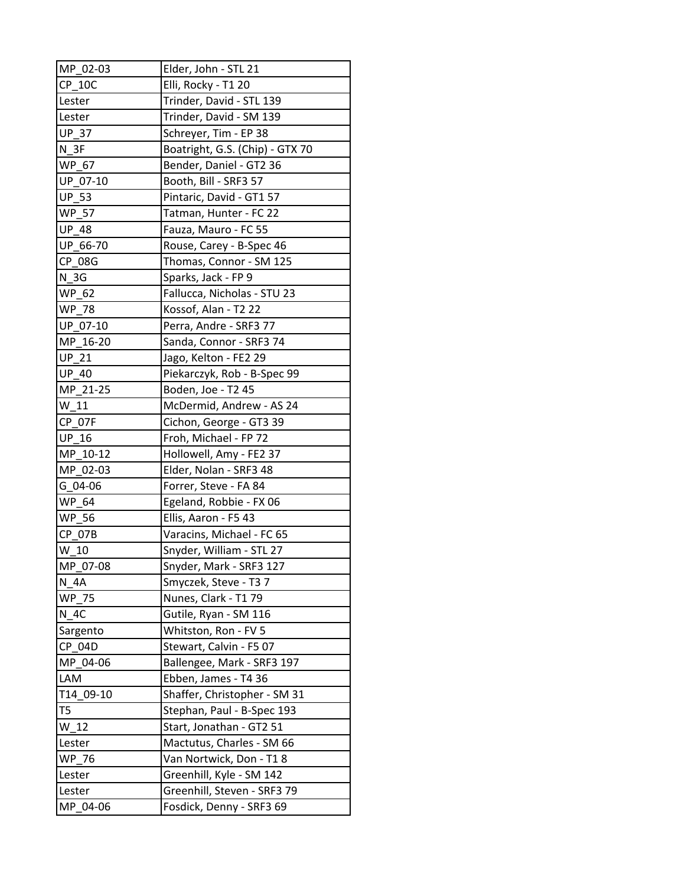| MP_02-03      | Elder, John - STL 21            |
|---------------|---------------------------------|
| $CP_10C$      | Elli, Rocky - T1 20             |
| Lester        | Trinder, David - STL 139        |
| Lester        | Trinder, David - SM 139         |
| <b>UP 37</b>  | Schreyer, Tim - EP 38           |
| $N_3F$        | Boatright, G.S. (Chip) - GTX 70 |
| WP_67         | Bender, Daniel - GT2 36         |
| UP 07-10      | Booth, Bill - SRF3 57           |
| UP_53         | Pintaric, David - GT1 57        |
| <b>WP 57</b>  | Tatman, Hunter - FC 22          |
| <b>UP 48</b>  | Fauza, Mauro - FC 55            |
| UP 66-70      | Rouse, Carey - B-Spec 46        |
| CP 08G        | Thomas, Connor - SM 125         |
| N 3G          | Sparks, Jack - FP 9             |
| WP 62         | Fallucca, Nicholas - STU 23     |
| <b>WP 78</b>  | Kossof, Alan - T2 22            |
| UP 07-10      | Perra, Andre - SRF3 77          |
| MP 16-20      | Sanda, Connor - SRF3 74         |
| $UP_21$       | Jago, Kelton - FE2 29           |
| <b>UP 40</b>  | Piekarczyk, Rob - B-Spec 99     |
| MP_21-25      | Boden, Joe - T2 45              |
| W 11          | McDermid, Andrew - AS 24        |
| <b>CP 07F</b> | Cichon, George - GT3 39         |
| <b>UP 16</b>  | Froh, Michael - FP 72           |
| $MP_10-12$    | Hollowell, Amy - FE2 37         |
| MP 02-03      | Elder, Nolan - SRF3 48          |
| G 04-06       | Forrer, Steve - FA 84           |
| WP 64         | Egeland, Robbie - FX 06         |
| <b>WP_56</b>  | Ellis, Aaron - F5 43            |
| <b>CP 07B</b> | Varacins, Michael - FC 65       |
| W 10          | Snyder, William - STL 27        |
| MP 07-08      | Snyder, Mark - SRF3 127         |
| N 4A          | Smyczek, Steve - T3 7           |
| WP_75         | Nunes, Clark - T1 79            |
| N 4C          | Gutile, Ryan - SM 116           |
| Sargento      | Whitston, Ron - FV 5            |
| CP 04D        | Stewart, Calvin - F5 07         |
| MP 04-06      | Ballengee, Mark - SRF3 197      |
| LAM           | Ebben, James - T4 36            |
| T14 09-10     | Shaffer, Christopher - SM 31    |
| T5            | Stephan, Paul - B-Spec 193      |
| $W_12$        | Start, Jonathan - GT2 51        |
| Lester        | Mactutus, Charles - SM 66       |
| WP 76         | Van Nortwick, Don - T18         |
| Lester        | Greenhill, Kyle - SM 142        |
| Lester        | Greenhill, Steven - SRF3 79     |
| MP 04-06      | Fosdick, Denny - SRF3 69        |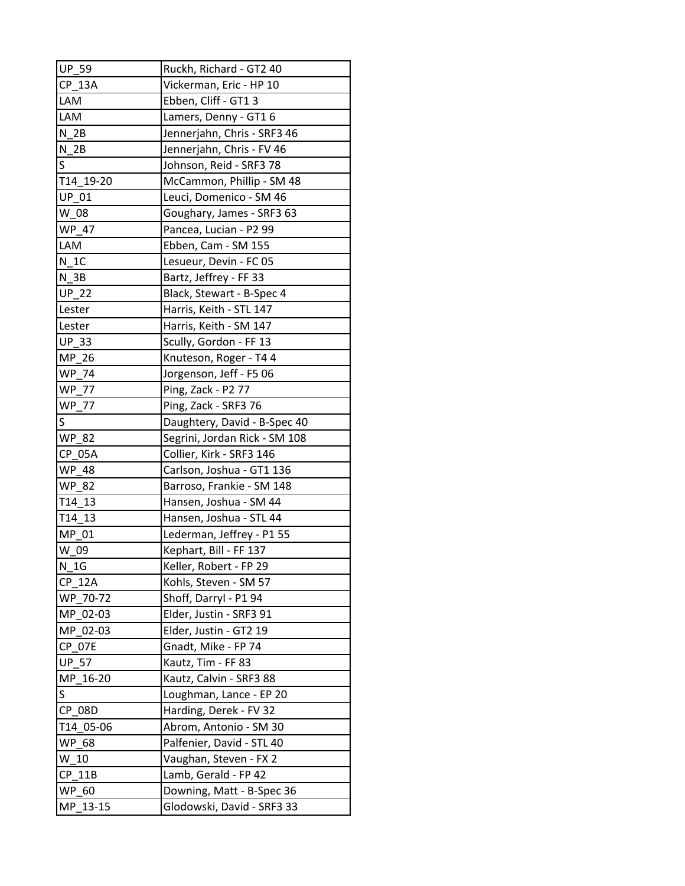| <b>UP_59</b>    | Ruckh, Richard - GT2 40       |
|-----------------|-------------------------------|
| <b>CP 13A</b>   | Vickerman, Eric - HP 10       |
| LAM             | Ebben, Cliff - GT1 3          |
| <b>LAM</b>      | Lamers, Denny - GT1 6         |
| N <sub>2B</sub> | Jennerjahn, Chris - SRF3 46   |
| N <sub>2B</sub> | Jennerjahn, Chris - FV 46     |
| S               | Johnson, Reid - SRF3 78       |
| T14 19-20       | McCammon, Phillip - SM 48     |
| UP_01           | Leuci, Domenico - SM 46       |
| W 08            | Goughary, James - SRF3 63     |
| <b>WP 47</b>    | Pancea, Lucian - P2 99        |
| LAM             | Ebben, Cam - SM 155           |
| N 1C            | Lesueur, Devin - FC 05        |
| $N_3B$          | Bartz, Jeffrey - FF 33        |
| <b>UP_22</b>    | Black, Stewart - B-Spec 4     |
| Lester          | Harris, Keith - STL 147       |
| Lester          | Harris, Keith - SM 147        |
| <b>UP 33</b>    | Scully, Gordon - FF 13        |
| $MP_26$         | Knuteson, Roger - T4 4        |
| <b>WP 74</b>    | Jorgenson, Jeff - F5 06       |
| <b>WP 77</b>    | Ping, Zack - P2 77            |
| <b>WP 77</b>    | Ping, Zack - SRF3 76          |
| S               | Daughtery, David - B-Spec 40  |
| <b>WP 82</b>    | Segrini, Jordan Rick - SM 108 |
| CP 05A          | Collier, Kirk - SRF3 146      |
| <b>WP 48</b>    | Carlson, Joshua - GT1 136     |
| <b>WP 82</b>    | Barroso, Frankie - SM 148     |
| T14 13          | Hansen, Joshua - SM 44        |
| T14 13          | Hansen, Joshua - STL 44       |
| MP 01           | Lederman, Jeffrey - P1 55     |
| W 09            | Kephart, Bill - FF 137        |
| $N_1G$          | Keller, Robert - FP 29        |
| <b>CP 12A</b>   | Kohls, Steven - SM 57         |
| WP 70-72        | Shoff, Darryl - P1 94         |
| MP_02-03        | Elder, Justin - SRF3 91       |
| MP 02-03        | Elder, Justin - GT2 19        |
| <b>CP 07E</b>   | Gnadt, Mike - FP 74           |
| <b>UP 57</b>    | Kautz, Tim - FF 83            |
| MP 16-20        | Kautz, Calvin - SRF3 88       |
| S               | Loughman, Lance - EP 20       |
| CP 08D          | Harding, Derek - FV 32        |
| T14 05-06       | Abrom, Antonio - SM 30        |
| <b>WP 68</b>    | Palfenier, David - STL 40     |
| W 10            | Vaughan, Steven - FX 2        |
| $CP_11B$        | Lamb, Gerald - FP 42          |
| <b>WP 60</b>    | Downing, Matt - B-Spec 36     |
| MP 13-15        | Glodowski, David - SRF3 33    |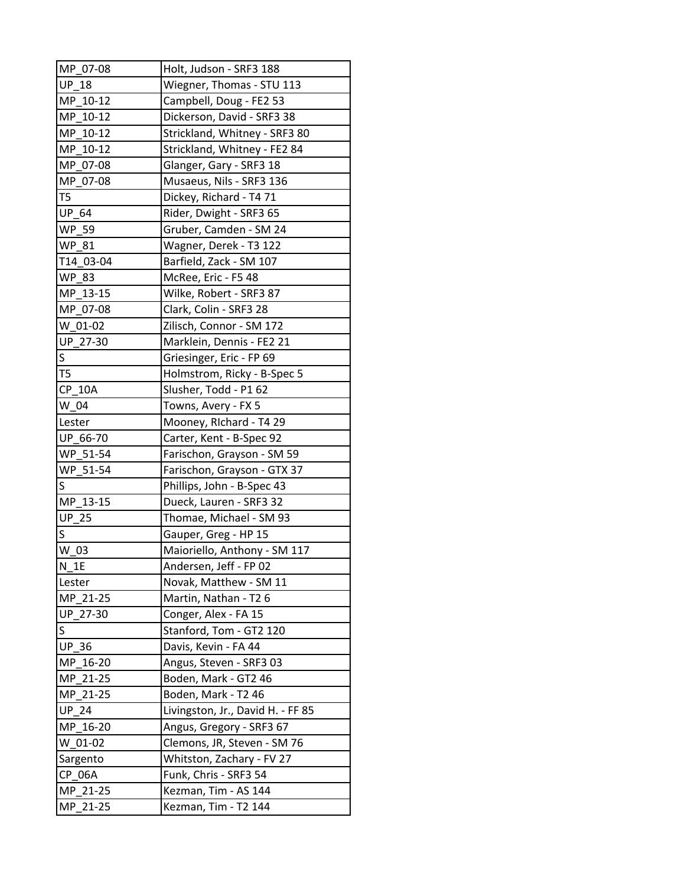| MP 07-08       | Holt, Judson - SRF3 188           |
|----------------|-----------------------------------|
| <b>UP 18</b>   | Wiegner, Thomas - STU 113         |
| MP 10-12       | Campbell, Doug - FE2 53           |
| MP 10-12       | Dickerson, David - SRF3 38        |
| MP 10-12       | Strickland, Whitney - SRF3 80     |
| MP 10-12       | Strickland, Whitney - FE2 84      |
| MP 07-08       | Glanger, Gary - SRF3 18           |
| MP 07-08       | Musaeus, Nils - SRF3 136          |
| T5             | Dickey, Richard - T4 71           |
| <b>UP 64</b>   | Rider, Dwight - SRF3 65           |
| <b>WP 59</b>   | Gruber, Camden - SM 24            |
| <b>WP 81</b>   | Wagner, Derek - T3 122            |
| T14 03-04      | Barfield, Zack - SM 107           |
| <b>WP 83</b>   | McRee, Eric - F5 48               |
| MP 13-15       | Wilke, Robert - SRF3 87           |
| MP_07-08       | Clark, Colin - SRF3 28            |
| W 01-02        | Zilisch, Connor - SM 172          |
| UP 27-30       | Marklein, Dennis - FE2 21         |
| S              | Griesinger, Eric - FP 69          |
| T <sub>5</sub> | Holmstrom, Ricky - B-Spec 5       |
| <b>CP 10A</b>  | Slusher, Todd - P1 62             |
| W 04           | Towns, Avery - FX 5               |
| Lester         | Mooney, Richard - T4 29           |
| UP 66-70       | Carter, Kent - B-Spec 92          |
| WP_51-54       | Farischon, Grayson - SM 59        |
| WP 51-54       | Farischon, Grayson - GTX 37       |
| S              | Phillips, John - B-Spec 43        |
| MP 13-15       | Dueck, Lauren - SRF3 32           |
| <b>UP 25</b>   | Thomae, Michael - SM 93           |
| S              | Gauper, Greg - HP 15              |
| W 03           | Maioriello, Anthony - SM 117      |
| $N_1E$         | Andersen, Jeff - FP 02            |
| Lester         | Novak, Matthew - SM 11            |
| MP_21-25       | Martin, Nathan - T2 6             |
| UP 27-30       | Conger, Alex - FA 15              |
| S              | Stanford, Tom - GT2 120           |
| <b>UP 36</b>   | Davis, Kevin - FA 44              |
| MP 16-20       | Angus, Steven - SRF3 03           |
| MP 21-25       | Boden, Mark - GT2 46              |
| MP 21-25       | Boden, Mark - T2 46               |
| <b>UP 24</b>   | Livingston, Jr., David H. - FF 85 |
| MP 16-20       | Angus, Gregory - SRF3 67          |
| W 01-02        | Clemons, JR, Steven - SM 76       |
| Sargento       | Whitston, Zachary - FV 27         |
| CP 06A         | Funk, Chris - SRF3 54             |
| MP 21-25       | Kezman, Tim - AS 144              |
| MP_21-25       | Kezman, Tim - T2 144              |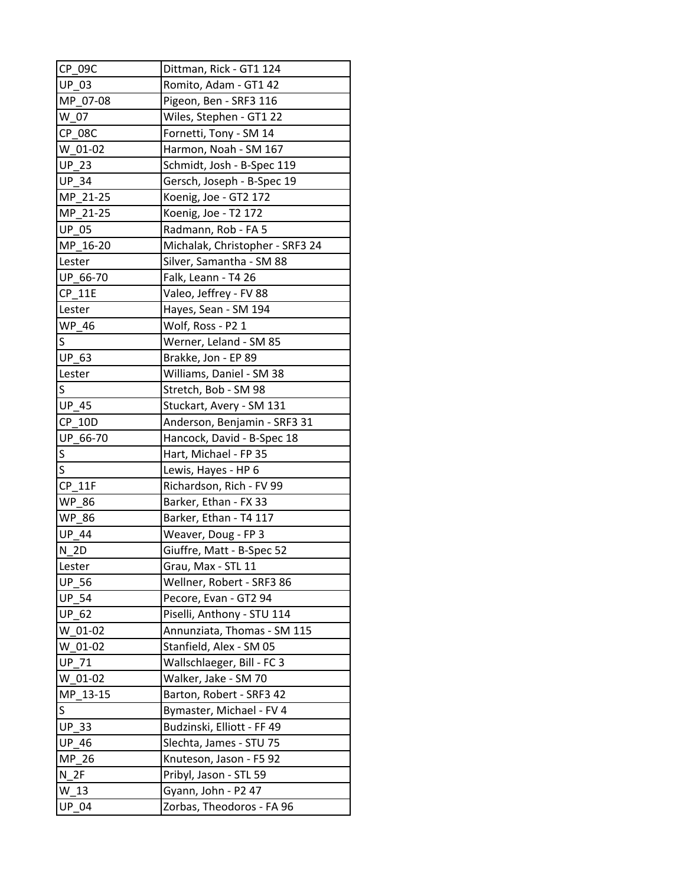| CP 09C                  | Dittman, Rick - GT1 124         |
|-------------------------|---------------------------------|
| <b>UP 03</b>            | Romito, Adam - GT1 42           |
| MP 07-08                | Pigeon, Ben - SRF3 116          |
| W 07                    | Wiles, Stephen - GT1 22         |
| <b>CP 08C</b>           | Fornetti, Tony - SM 14          |
| W 01-02                 | Harmon, Noah - SM 167           |
| <b>UP 23</b>            | Schmidt, Josh - B-Spec 119      |
| <b>UP 34</b>            | Gersch, Joseph - B-Spec 19      |
| MP_21-25                | Koenig, Joe - GT2 172           |
| MP_21-25                | Koenig, Joe - T2 172            |
| <b>UP 05</b>            | Radmann, Rob - FA 5             |
| MP_16-20                | Michalak, Christopher - SRF3 24 |
| Lester                  | Silver, Samantha - SM 88        |
| UP 66-70                | Falk, Leann - T4 26             |
| <b>CP 11E</b>           | Valeo, Jeffrey - FV 88          |
| Lester                  | Hayes, Sean - SM 194            |
| WP_46                   | Wolf, Ross - P2 1               |
| S                       | Werner, Leland - SM 85          |
| UP_63                   | Brakke, Jon - EP 89             |
| Lester                  | Williams, Daniel - SM 38        |
| S                       | Stretch, Bob - SM 98            |
| <b>UP 45</b>            | Stuckart, Avery - SM 131        |
| <b>CP 10D</b>           | Anderson, Benjamin - SRF3 31    |
| UP 66-70                | Hancock, David - B-Spec 18      |
| $\overline{\mathsf{S}}$ | Hart, Michael - FP 35           |
| S                       | Lewis, Hayes - HP 6             |
| <b>CP 11F</b>           | Richardson, Rich - FV 99        |
| <b>WP 86</b>            | Barker, Ethan - FX 33           |
| <b>WP 86</b>            | Barker, Ethan - T4 117          |
| <b>UP 44</b>            | Weaver, Doug - FP 3             |
| N 2D                    | Giuffre, Matt - B-Spec 52       |
| Lester                  | Grau, Max - STL 11              |
| <b>UP 56</b>            | Wellner, Robert - SRF3 86       |
| <b>UP_54</b>            | Pecore, Evan - GT2 94           |
| <b>UP 62</b>            | Piselli, Anthony - STU 114      |
| W 01-02                 | Annunziata, Thomas - SM 115     |
| W 01-02                 | Stanfield, Alex - SM 05         |
| <b>UP 71</b>            | Wallschlaeger, Bill - FC 3      |
| W 01-02                 | Walker, Jake - SM 70            |
| MP 13-15                | Barton, Robert - SRF3 42        |
| S                       | Bymaster, Michael - FV 4        |
| <b>UP 33</b>            | Budzinski, Elliott - FF 49      |
| <b>UP 46</b>            | Slechta, James - STU 75         |
| $MP_26$                 | Knuteson, Jason - F5 92         |
| $N_2F$                  | Pribyl, Jason - STL 59          |
| W 13                    | Gyann, John - P2 47             |
| <b>UP 04</b>            | Zorbas, Theodoros - FA 96       |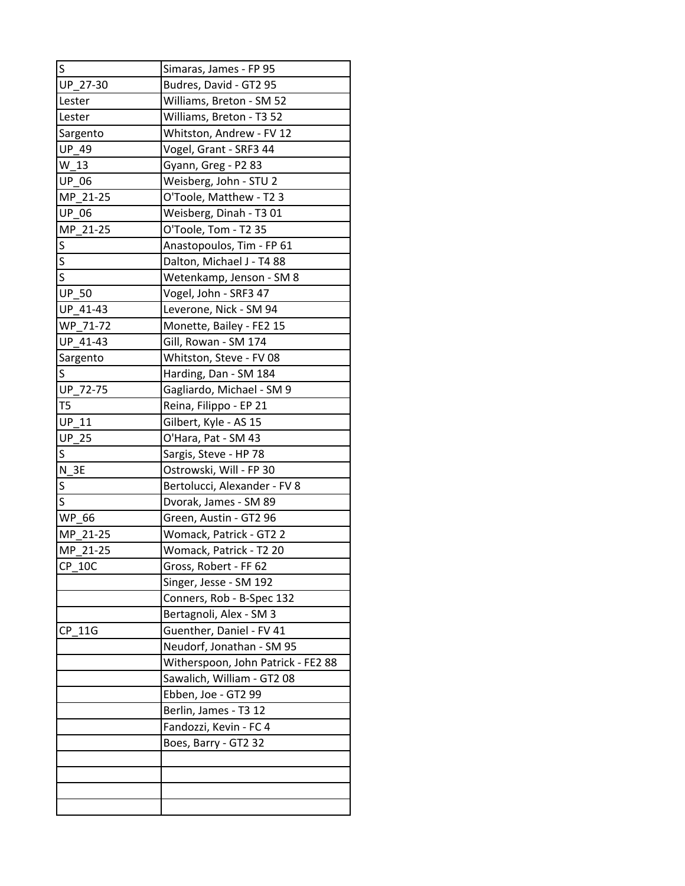| S                       | Simaras, James - FP 95             |
|-------------------------|------------------------------------|
| UP 27-30                | Budres, David - GT2 95             |
| Lester                  | Williams, Breton - SM 52           |
| Lester                  | Williams, Breton - T3 52           |
| Sargento                | Whitston, Andrew - FV 12           |
| UP_49                   | Vogel, Grant - SRF3 44             |
| $W_13$                  | Gyann, Greg - P2 83                |
| UP_06                   | Weisberg, John - STU 2             |
| MP 21-25                | O'Toole, Matthew - T2 3            |
| <b>UP 06</b>            | Weisberg, Dinah - T3 01            |
| MP_21-25                | O'Toole, Tom - T2 35               |
| S                       | Anastopoulos, Tim - FP 61          |
| S                       | Dalton, Michael J - T4 88          |
| $\overline{\mathsf{s}}$ | Wetenkamp, Jenson - SM 8           |
| <b>UP 50</b>            | Vogel, John - SRF3 47              |
| UP 41-43                | Leverone, Nick - SM 94             |
| WP_71-72                | Monette, Bailey - FE2 15           |
| UP 41-43                | Gill, Rowan - SM 174               |
| Sargento                | Whitston, Steve - FV 08            |
| S                       | Harding, Dan - SM 184              |
| UP_72-75                | Gagliardo, Michael - SM 9          |
| T <sub>5</sub>          | Reina, Filippo - EP 21             |
| <b>UP 11</b>            | Gilbert, Kyle - AS 15              |
| <b>UP 25</b>            | O'Hara, Pat - SM 43                |
| S                       | Sargis, Steve - HP 78              |
| N<br>3E                 | Ostrowski, Will - FP 30            |
| S                       | Bertolucci, Alexander - FV 8       |
| S                       | Dvorak, James - SM 89              |
| <b>WP</b><br>-66        | Green, Austin - GT2 96             |
| MP 21-25                | Womack, Patrick - GT2 2            |
| MP_21-25                | Womack, Patrick - T2 20            |
| $CP_10C$                | Gross, Robert - FF 62              |
|                         | Singer, Jesse - SM 192             |
|                         | Conners, Rob - B-Spec 132          |
|                         | Bertagnoli, Alex - SM 3            |
| CP 11G                  | Guenther, Daniel - FV 41           |
|                         | Neudorf, Jonathan - SM 95          |
|                         | Witherspoon, John Patrick - FE2 88 |
|                         | Sawalich, William - GT2 08         |
|                         | Ebben, Joe - GT2 99                |
|                         | Berlin, James - T3 12              |
|                         | Fandozzi, Kevin - FC 4             |
|                         | Boes, Barry - GT2 32               |
|                         |                                    |
|                         |                                    |
|                         |                                    |
|                         |                                    |